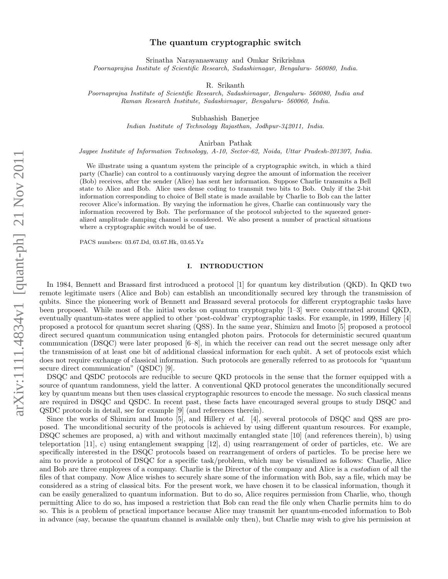## The quantum cryptographic switch

Srinatha Narayanaswamy and Omkar Srikrishna *Poornaprajna Institute of Scientific Research, Sadashivnagar, Bengaluru- 560080, India.*

R. Srikanth

*Poornaprajna Institute of Scientific Research, Sadashivnagar, Bengaluru- 560080, India and Raman Research Institute, Sadashivnagar, Bengaluru- 560060, India.*

Subhashish Banerjee

*Indian Institute of Technology Rajasthan, Jodhpur-342011, India.*

Anirban Pathak

*Jaypee Institute of Information Technology, A-10, Sector-62, Noida, Uttar Pradesh-201307, India.*

We illustrate using a quantum system the principle of a cryptographic switch, in which a third party (Charlie) can control to a continuously varying degree the amount of information the receiver (Bob) receives, after the sender (Alice) has sent her information. Suppose Charlie transmits a Bell state to Alice and Bob. Alice uses dense coding to transmit two bits to Bob. Only if the 2-bit information corresponding to choice of Bell state is made available by Charlie to Bob can the latter recover Alice's information. By varying the information he gives, Charlie can continuously vary the information recovered by Bob. The performance of the protocol subjected to the squeezed generalized amplitude damping channel is considered. We also present a number of practical situations where a cryptographic switch would be of use.

PACS numbers: 03.67.Dd, 03.67.Hk, 03.65.Yz

## I. INTRODUCTION

In 1984, Bennett and Brassard first introduced a protocol [1] for quantum key distribution (QKD). In QKD two remote legitimate users (Alice and Bob) can establish an unconditionally secured key through the transmission of qubits. Since the pioneering work of Bennett and Brassard several protocols for different cryptographic tasks have been proposed. While most of the initial works on quantum cryptography [1–3] were concentrated around QKD, eventually quantum-states were applied to other 'post-coldwar' cryptographic tasks. For example, in 1999, Hillery [4] proposed a protocol for quantum secret sharing (QSS). In the same year, Shimizu and Imoto [5] proposed a protocol direct secured quantum communication using entangled photon pairs. Protocols for deterministic secured quantum communication (DSQC) were later proposed [6–8], in which the receiver can read out the secret message only after the transmission of at least one bit of additional classical information for each qubit. A set of protocols exist which does not require exchange of classical information. Such protocols are generally referred to as protocols for "quantum secure direct communication" (QSDC) [9].

DSQC and QSDC protocols are reducible to secure QKD protocols in the sense that the former equipped with a source of quantum randomness, yield the latter. A conventional QKD protocol generates the unconditionally secured key by quantum means but then uses classical cryptographic resources to encode the message. No such classical means are required in DSQC and QSDC. In recent past, these facts have encouraged several groups to study DSQC and QSDC protocols in detail, see for example [9] (and references therein).

Since the works of Shimizu and Imoto [5], and Hillery et al. [4], several protocols of DSQC and QSS are proposed. The unconditional security of the protocols is achieved by using different quantum resources. For example, DSQC schemes are proposed, a) with and without maximally entangled state [10] (and references therein), b) using teleportation [11], c) using entanglement swapping [12], d) using rearrangement of order of particles, etc. We are specifically interested in the DSQC protocols based on rearrangement of orders of particles. To be precise here we aim to provide a protocol of DSQC for a specific task/problem, which may be visualized as follows: Charlie, Alice and Bob are three employees of a company. Charlie is the Director of the company and Alice is a custodian of all the files of that company. Now Alice wishes to securely share some of the information with Bob, say a file, which may be considered as a string of classical bits. For the present work, we have chosen it to be classical information, though it can be easily generalized to quantum information. But to do so, Alice requires permission from Charlie, who, though permitting Alice to do so, has imposed a restriction that Bob can read the file only when Charlie permits him to do so. This is a problem of practical importance because Alice may transmit her quantum-encoded information to Bob in advance (say, because the quantum channel is available only then), but Charlie may wish to give his permission at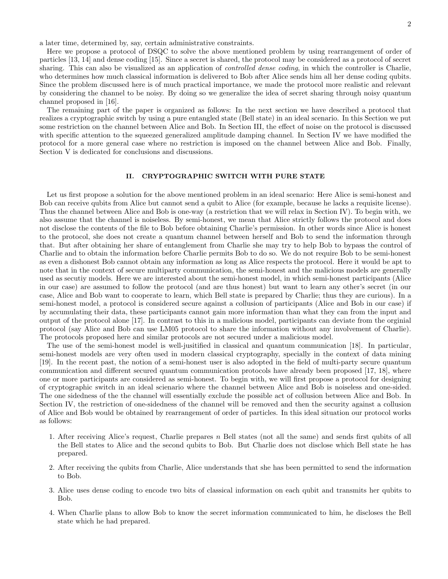Here we propose a protocol of DSQC to solve the above mentioned problem by using rearrangement of order of particles [13, 14] and dense coding [15]. Since a secret is shared, the protocol may be considered as a protocol of secret sharing. This can also be visualized as an application of *controlled dense coding*, in which the controller is Charlie, who determines how much classical information is delivered to Bob after Alice sends him all her dense coding qubits. Since the problem discussed here is of much practical importance, we made the protocol more realistic and relevant by considering the channel to be noisy. By doing so we generalize the idea of secret sharing through noisy quantum channel proposed in [16].

The remaining part of the paper is organized as follows: In the next section we have described a protocol that realizes a cryptographic switch by using a pure entangled state (Bell state) in an ideal scenario. In this Section we put some restriction on the channel between Alice and Bob. In Section III, the effect of noise on the protocol is discussed with specific attention to the squeezed generalized amplitude damping channel. In Section IV we have modified the protocol for a more general case where no restriction is imposed on the channel between Alice and Bob. Finally, Section V is dedicated for conclusions and discussions.

## II. CRYPTOGRAPHIC SWITCH WITH PURE STATE

Let us first propose a solution for the above mentioned problem in an ideal scenario: Here Alice is semi-honest and Bob can receive qubits from Alice but cannot send a qubit to Alice (for example, because he lacks a requisite license). Thus the channel between Alice and Bob is one-way (a restriction that we will relax in Section IV). To begin with, we also assume that the channel is noiseless. By semi-honest, we mean that Alice strictly follows the protocol and does not disclose the contents of the file to Bob before obtaining Charlie's permission. In other words since Alice is honest to the protocol, she does not create a quantum channel between herself and Bob to send the information through that. But after obtaining her share of entanglement from Charlie she may try to help Bob to bypass the control of Charlie and to obtain the information before Charlie permits Bob to do so. We do not require Bob to be semi-honest as even a dishonest Bob cannot obtain any information as long as Alice respects the protocol. Here it would be apt to note that in the context of secure multiparty communication, the semi-honest and the malicious models are generally used as secutiy models. Here we are interested about the semi-honest model, in which semi-honest participants (Alice in our case) are assumed to follow the protocol (and are thus honest) but want to learn any other's secret (in our case, Alice and Bob want to cooperate to learn, which Bell state is prepared by Charlie; thus they are curious). In a semi-honest model, a protocol is considered secure against a collusion of participants (Alice and Bob in our case) if by accumulating their data, these participants cannot gain more information than what they can from the input and output of the protocol alone [17]. In contrast to this in a malicious model, participants can deviate from the orginial protocol (say Alice and Bob can use LM05 protocol to share the information without any involvement of Charlie). The protocols proposed here and similar protocols are not secured under a malicious model.

The use of the semi-honest model is well-jusitified in classical and quantum communication [18]. In particular, semi-honest models are very often used in modern classical cryptography, specially in the context of data mining [19]. In the recent past, the notion of a semi-honest user is also adopted in the field of multi-party secure quantum communication and different secured quantum communication protocols have already been proposed [17, 18], where one or more participants are considered as semi-honest. To begin with, we will first propose a protocol for designing of cryptographic switch in an ideal scienario where the channel between Alice and Bob is noiseless and one-sided. The one sidedness of the the channel will essentially exclude the possible act of collusion between Alice and Bob. In Section IV, the restriction of one-sidedness of the channel will be removed and then the security against a collusion of Alice and Bob would be obtained by rearrangement of order of particles. In this ideal situation our protocol works as follows:

- 1. After receiving Alice's request, Charlie prepares  $n$  Bell states (not all the same) and sends first qubits of all the Bell states to Alice and the second qubits to Bob. But Charlie does not disclose which Bell state he has prepared.
- 2. After receiving the qubits from Charlie, Alice understands that she has been permitted to send the information to Bob.
- 3. Alice uses dense coding to encode two bits of classical information on each qubit and transmits her qubits to Bob.
- 4. When Charlie plans to allow Bob to know the secret information communicated to him, he discloses the Bell state which he had prepared.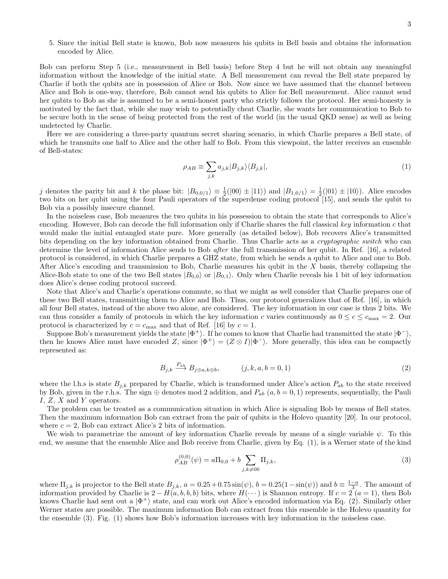5. Since the initial Bell state is known, Bob now measures his qubits in Bell basis and obtains the information encoded by Alice.

Bob can perform Step 5 (i.e., measurement in Bell basis) before Step 4 but he will not obtain any meaningful information without the knowledge of the initial state. A Bell measurement can reveal the Bell state prepared by Charlie if both the qubits are in possession of Alice or Bob. Now since we have assumed that the channel between Alice and Bob is one-way, therefore, Bob cannot send his qubits to Alice for Bell measurement. Alice cannot send her qubits to Bob as she is assumed to be a semi-honest party who strictly follows the protocol. Her semi-honesty is motivated by the fact that, while she may wish to potentially cheat Charlie, she wants her communication to Bob to be secure both in the sense of being protected from the rest of the world (in the usual QKD sense) as well as being undetected by Charlie.

Here we are considering a three-party quantum secret sharing scenario, in which Charlie prepares a Bell state, of which he transmits one half to Alice and the other half to Bob. From this viewpoint, the latter receives an ensemble of Bell-states:

$$
\rho_{AB} \equiv \sum_{j,k} a_{j,k} |B_{j,k}\rangle \langle B_{j,k}|,\tag{1}
$$

j denotes the parity bit and k the phase bit:  $|B_{0,0/1}\rangle \equiv \frac{1}{2}(|00\rangle \pm |11\rangle)$  and  $|B_{1,0/1}\rangle = \frac{1}{2}(|01\rangle \pm |10\rangle)$ . Alice encodes two bits on her qubit using the four Pauli operators of the superdense coding protocol [15], and sends the qubit to Bob via a possibly insecure channel.

In the noiseless case, Bob measures the two qubits in his possession to obtain the state that corresponds to Alice's encoding. However, Bob can decode the full information only if Charlie shares the full classical key information  $c$  that would make the initial entangled state pure. More generally (as detailed below), Bob recovers Alice's transmitted bits depending on the key information obtained from Charlie. Thus Charlie acts as a cryptographic switch who can determine the level of information Alice sends to Bob after the full transmission of her qubit. In Ref. [16], a related protocol is considered, in which Charlie prepares a GHZ state, from which he sends a qubit to Alice and one to Bob. After Alice's encoding and transmission to Bob, Charlie measures his qubit in the  $X$  basis, thereby collapsing the Alice-Bob state to one of the two Bell states  $|B_{0,0}\rangle$  or  $|B_{0,1}\rangle$ . Only when Charlie reveals his 1 bit of key information does Alice's dense coding protocol succeed.

Note that Alice's and Charlie's operations commute, so that we might as well consider that Charlie prepares one of these two Bell states, transmitting them to Alice and Bob. Thus, our protocol generalizes that of Ref. [16], in which all four Bell states, instead of the above two alone, are considered. The key information in our case is thus 2 bits. We can thus consider a family of protocols in which the key information c varies continuously as  $0 \le c \le c_{\text{max}} = 2$ . Our protocol is characterized by  $c = c_{\text{max}}$  and that of Ref. [16] by  $c = 1$ .

Suppose Bob's measurement yields the state  $|\Phi^+\rangle$ . If he comes to know that Charlie had transmitted the state  $|\Phi^-\rangle$ , then he knows Alice must have encoded Z, since  $|\Phi^+\rangle = (Z \otimes I)|\Phi^-\rangle$ . More generally, this idea can be compactly represented as:

$$
B_{j,k} \xrightarrow{P_{ab}} B_{j \oplus a,k \oplus b}, \qquad (j,k,a,b=0,1) \tag{2}
$$

where the l.h.s is state  $B_{j,k}$  prepared by Charlie, which is transformed under Alice's action  $P_{ab}$  to the state received by Bob, given in the r.h.s. The sign  $\oplus$  denotes mod 2 addition, and  $P_{ab}$   $(a, b = 0, 1)$  represents, sequentially, the Pauli I, Z, X and Y operators.

The problem can be treated as a communication situation in which Alice is signaling Bob by means of Bell states. Then the maximum information Bob can extract from the pair of qubits is the Holevo quantity [20]. In our protocol, where  $c = 2$ , Bob can extract Alice's 2 bits of information.

We wish to parametrize the amount of key information Charlie reveals by means of a single variable  $\psi$ . To this end, we assume that the ensemble Alice and Bob receive from Charlie, given by Eq. (1), is a Werner state of the kind

$$
\rho_{AB}^{(0,0)}(\psi) = a\Pi_{0,0} + b \sum_{j,k \neq 00} \Pi_{j,k},\tag{3}
$$

where  $\Pi_{j,k}$  is projector to the Bell state  $B_{j,k}$ ,  $a = 0.25 + 0.75 \sin(\psi)$ ,  $b = 0.25(1 - \sin(\psi))$  and  $b \equiv \frac{1-a}{3}$ . The amount of information provided by Charlie is  $2 - H(a, b, b, b)$  bits, where  $H(\cdots)$  is Shannon entropy. If  $c = 2$   $(a = 1)$ , then Bob knows Charlie had sent out a  $|\Phi^+\rangle$  state, and can work out Alice's encoded information via Eq. (2). Similarly other Werner states are possible. The maximum information Bob can extract from this ensemble is the Holevo quantity for the ensemble (3). Fig. (1) shows how Bob's information increases with key information in the noiseless case.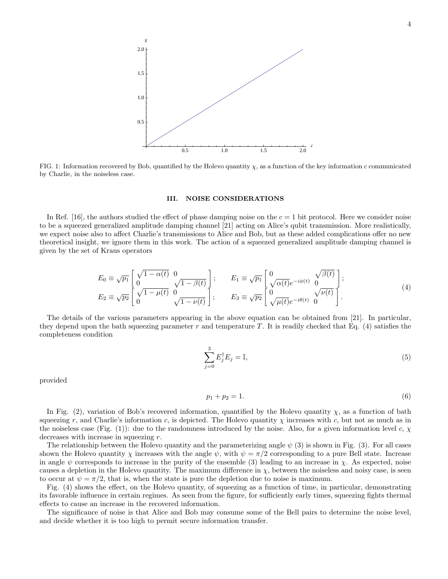

FIG. 1: Information recovered by Bob, quantified by the Holevo quantity  $\chi$ , as a function of the key information c communicated by Charlie, in the noiseless case.

#### III. NOISE CONSIDERATIONS

In Ref. [16], the authors studied the effect of phase damping noise on the  $c = 1$  bit protocol. Here we consider noise to be a squeezed generalized amplitude damping channel [21] acting on Alice's qubit transmission. More realistically, we expect noise also to affect Charlie's transmissions to Alice and Bob, but as these added complications offer no new theoretical insight, we ignore them in this work. The action of a squeezed generalized amplitude damping channel is given by the set of Kraus operators

$$
E_0 \equiv \sqrt{p_1} \begin{bmatrix} \sqrt{1 - \alpha(t)} & 0 \\ 0 & \sqrt{1 - \beta(t)} \end{bmatrix}; \qquad E_1 \equiv \sqrt{p_1} \begin{bmatrix} 0 & \sqrt{\beta(t)} \\ \sqrt{\alpha(t)} e^{-i\phi(t)} & 0 \end{bmatrix};
$$
  
\n
$$
E_2 \equiv \sqrt{p_2} \begin{bmatrix} \sqrt{1 - \mu(t)} & 0 \\ 0 & \sqrt{1 - \nu(t)} \end{bmatrix}; \qquad E_3 \equiv \sqrt{p_2} \begin{bmatrix} 0 & \sqrt{\nu(t)} \\ \sqrt{\mu(t)} e^{-i\theta(t)} & 0 \end{bmatrix}.
$$
 (4)

The details of the various parameters appearing in the above equation can be obtained from [21]. In particular, they depend upon the bath squeezing parameter  $r$  and temperature  $T$ . It is readily checked that Eq. (4) satisfies the completeness condition

$$
\sum_{j=0}^{3} E_j^{\dagger} E_j = \mathbb{I},\tag{5}
$$

provided

$$
p_1 + p_2 = 1.\t\t(6)
$$

In Fig. (2), variation of Bob's recovered information, quantified by the Holevo quantity  $\chi$ , as a function of bath squeezing r, and Charlie's information c, is depicted. The Holevo quantity  $\chi$  increases with c, but not as much as in the noiseless case (Fig. (1)): due to the randomness introduced by the noise. Also, for a given information level c,  $\chi$ decreases with increase in squeezing r.

The relationship between the Holevo quantity and the parameterizing angle  $\psi$  (3) is shown in Fig. (3). For all cases shown the Holevo quantity  $\chi$  increases with the angle  $\psi$ , with  $\psi = \pi/2$  corresponding to a pure Bell state. Increase in angle  $\psi$  corresponds to increase in the purity of the ensemble (3) leading to an increase in  $\chi$ . As expected, noise causes a depletion in the Holevo quantity. The maximum difference in  $\chi$ , between the noiseless and noisy case, is seen to occur at  $\psi = \pi/2$ , that is, when the state is pure the depletion due to noise is maximum.

Fig. (4) shows the effect, on the Holevo quantity, of squeezing as a function of time, in particular, demonstrating its favorable influence in certain regimes. As seen from the figure, for sufficiently early times, squeezing fights thermal effects to cause an increase in the recovered information.

The significance of noise is that Alice and Bob may consume some of the Bell pairs to determine the noise level, and decide whether it is too high to permit secure information transfer.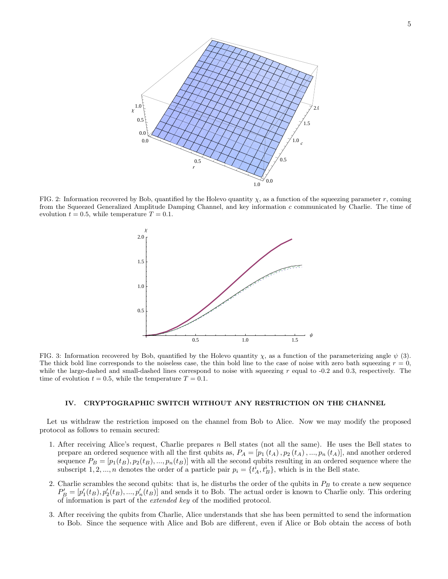

FIG. 2: Information recovered by Bob, quantified by the Holevo quantity  $\chi$ , as a function of the squeezing parameter r, coming from the Squeezed Generalized Amplitude Damping Channel, and key information c communicated by Charlie. The time of evolution  $t = 0.5$ , while temperature  $T = 0.1$ .



FIG. 3: Information recovered by Bob, quantified by the Holevo quantity  $\chi$ , as a function of the parameterizing angle  $\psi$  (3). The thick bold line corresponds to the noiseless case, the thin bold line to the case of noise with zero bath squeezing  $r = 0$ , while the large-dashed and small-dashed lines correspond to noise with squeezing  $r$  equal to  $-0.2$  and  $0.3$ , respectively. The time of evolution  $t = 0.5$ , while the temperature  $T = 0.1$ .

### IV. CRYPTOGRAPHIC SWITCH WITHOUT ANY RESTRICTION ON THE CHANNEL

Let us withdraw the restriction imposed on the channel from Bob to Alice. Now we may modify the proposed protocol as follows to remain secured:

- 1. After receiving Alice's request, Charlie prepares  $n$  Bell states (not all the same). He uses the Bell states to prepare an ordered sequence with all the first qubits as,  $P_A = [p_1(t_A), p_2(t_A), ..., p_n(t_A)]$ , and another ordered sequence  $P_B = [p_1(t_B), p_2(t_B), ..., p_n(t_B)]$  with all the second qubits resulting in an ordered sequence where the subscript 1, 2, ..., *n* denotes the order of a particle pair  $p_i = \{t_A^i, t_B^i\}$ , which is in the Bell state.
- 2. Charlie scrambles the second qubits: that is, he disturbs the order of the qubits in  $P_B$  to create a new sequence  $P'_B = [p'_1(t_B), p'_2(t_B), ..., p'_n(t_B)]$  and sends it to Bob. The actual order is known to Charlie only. This ordering of information is part of the extended key of the modified protocol.
- 3. After receiving the qubits from Charlie, Alice understands that she has been permitted to send the information to Bob. Since the sequence with Alice and Bob are different, even if Alice or Bob obtain the access of both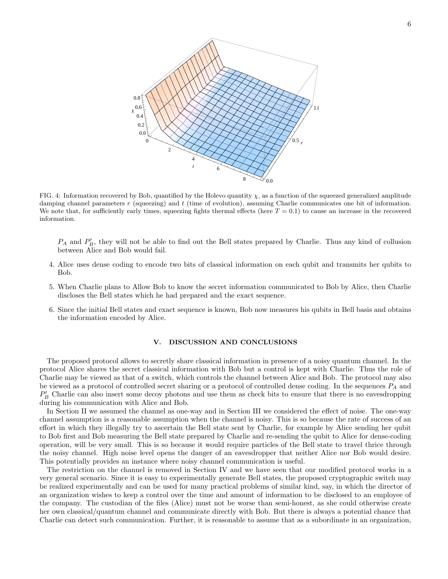

FIG. 4: Information recovered by Bob, quantified by the Holevo quantity  $\chi$ , as a function of the squeezed generalized amplitude damping channel parameters r (squeezing) and t (time of evolution), assuming Charlie communicates one bit of information. We note that, for sufficiently early times, squeezing fights thermal effects (here  $T = 0.1$ ) to cause an increase in the recovered information.

 $P_A$  and  $P'_B$ , they will not be able to find out the Bell states prepared by Charlie. Thus any kind of collusion between Alice and Bob would fail.

- 4. Alice uses dense coding to encode two bits of classical information on each qubit and transmits her qubits to Bob.
- 5. When Charlie plans to Allow Bob to know the secret information communicated to Bob by Alice, then Charlie discloses the Bell states which he had prepared and the exact sequence.
- 6. Since the initial Bell states and exact sequence is known, Bob now measures his qubits in Bell basis and obtains the information encoded by Alice.

# V. DISCUSSION AND CONCLUSIONS

The proposed protocol allows to secretly share classical information in presence of a noisy quantum channel. In the protocol Alice shares the secret classical information with Bob but a control is kept with Charlie. Thus the role of Charlie may be viewed as that of a switch, which controls the channel between Alice and Bob. The protocol may also be viewed as a protocol of controlled secret sharing or a protocol of controlled dense coding. In the sequences  $P_A$  and  $P'_B$  Charlie can also insert some decoy photons and use them as check bits to ensure that there is no eavesdropping during his communication with Alice and Bob.

In Section II we assumed the channel as one-way and in Section III we considered the effect of noise. The one-way channel assumption is a reasonable assumption when the channel is noisy. This is so because the rate of success of an effort in which they illegally try to ascertain the Bell state sent by Charlie, for example by Alice sending her qubit to Bob first and Bob measuring the Bell state prepared by Charlie and re-sending the qubit to Alice for dense-coding operation, will be very small. This is so because it would require particles of the Bell state to travel thrice through the noisy channel. High noise level opens the danger of an eavesdropper that neither Alice nor Bob would desire. This potentially provides an instance where noisy channel communication is useful.

The restriction on the channel is removed in Section IV and we have seen that our modified protocol works in a very general scenario. Since it is easy to experimentally generate Bell states, the proposed cryptographic switch may be realized experimentally and can be used for many practical problems of similar kind, say, in which the director of an organization wishes to keep a control over the time and amount of information to be disclosed to an employee of the company. The custodian of the files (Alice) must not be worse than semi-honest, as she could otherwise create her own classical/quantum channel and communicate directly with Bob. But there is always a potential chance that Charlie can detect such communication. Further, it is reasonable to assume that as a subordinate in an organization,